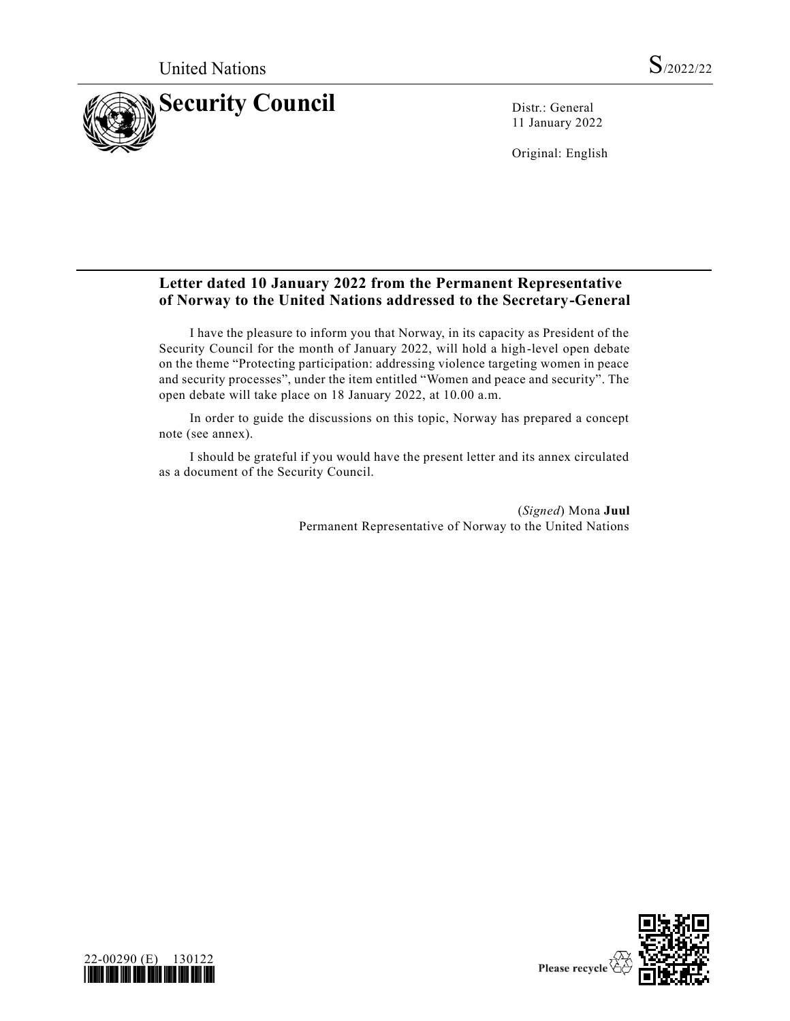

11 January 2022

Original: English

#### **Letter dated 10 January 2022 from the Permanent Representative of Norway to the United Nations addressed to the Secretary-General**

I have the pleasure to inform you that Norway, in its capacity as President of the Security Council for the month of January 2022, will hold a high-level open debate on the theme "Protecting participation: addressing violence targeting women in peace and security processes", under the item entitled "Women and peace and security". The open debate will take place on 18 January 2022, at 10.00 a.m.

In order to guide the discussions on this topic, Norway has prepared a concept note (see annex).

I should be grateful if you would have the present letter and its annex circulated as a document of the Security Council.

> (*Signed*) Mona **Juul** Permanent Representative of Norway to the United Nations



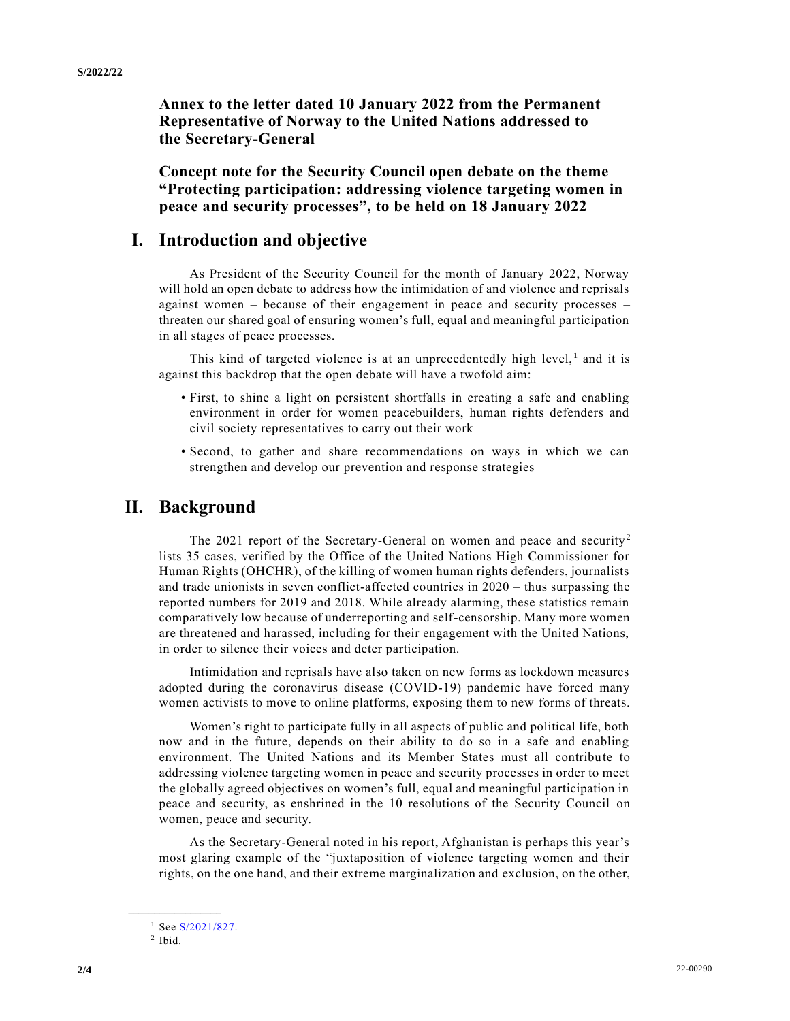**Annex to the letter dated 10 January 2022 from the Permanent Representative of Norway to the United Nations addressed to the Secretary-General**

**Concept note for the Security Council open debate on the theme "Protecting participation: addressing violence targeting women in peace and security processes", to be held on 18 January 2022**

#### **I. Introduction and objective**

As President of the Security Council for the month of January 2022, Norway will hold an open debate to address how the intimidation of and violence and reprisals against women – because of their engagement in peace and security processes – threaten our shared goal of ensuring women's full, equal and meaningful participation in all stages of peace processes.

This kind of targeted violence is at an unprecedentedly high level, $<sup>1</sup>$  and it is</sup> against this backdrop that the open debate will have a twofold aim:

- First, to shine a light on persistent shortfalls in creating a safe and enabling environment in order for women peacebuilders, human rights defenders and civil society representatives to carry out their work
- Second, to gather and share recommendations on ways in which we can strengthen and develop our prevention and response strategies

# **II. Background**

The 2021 report of the Secretary-General on women and peace and security<sup>2</sup> lists 35 cases, verified by the Office of the United Nations High Commissioner for Human Rights (OHCHR), of the killing of women human rights defenders, journalists and trade unionists in seven conflict-affected countries in 2020 – thus surpassing the reported numbers for 2019 and 2018. While already alarming, these statistics remain comparatively low because of underreporting and self-censorship. Many more women are threatened and harassed, including for their engagement with the United Nations, in order to silence their voices and deter participation.

Intimidation and reprisals have also taken on new forms as lockdown measures adopted during the coronavirus disease (COVID-19) pandemic have forced many women activists to move to online platforms, exposing them to new forms of threats.

Women's right to participate fully in all aspects of public and political life, both now and in the future, depends on their ability to do so in a safe and enabling environment. The United Nations and its Member States must all contribute to addressing violence targeting women in peace and security processes in order to meet the globally agreed objectives on women's full, equal and meaningful participation in peace and security, as enshrined in the 10 resolutions of the Security Council on women, peace and security.

As the Secretary-General noted in his report, Afghanistan is perhaps this year's most glaring example of the "juxtaposition of violence targeting women and their rights, on the one hand, and their extreme marginalization and exclusion, on the other,

**\_\_\_\_\_\_\_\_\_\_\_\_\_\_\_\_\_\_**

<sup>&</sup>lt;sup>1</sup> See [S/2021/827.](https://undocs.org/en/S/2021/827)

 $<sup>2</sup>$  Ibid.</sup>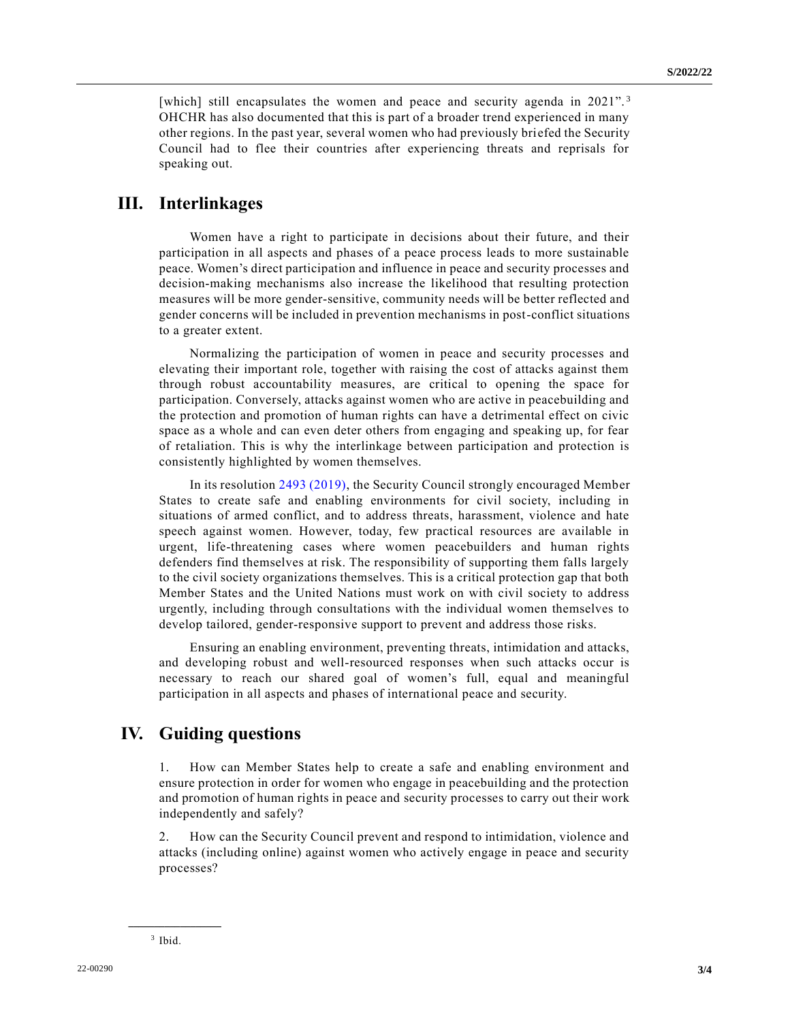[which] still encapsulates the women and peace and security agenda in 2021".<sup>3</sup> OHCHR has also documented that this is part of a broader trend experienced in many other regions. In the past year, several women who had previously briefed the Security Council had to flee their countries after experiencing threats and reprisals for speaking out.

# **III. Interlinkages**

Women have a right to participate in decisions about their future, and their participation in all aspects and phases of a peace process leads to more sustainable peace. Women's direct participation and influence in peace and security processes and decision-making mechanisms also increase the likelihood that resulting protection measures will be more gender-sensitive, community needs will be better reflected and gender concerns will be included in prevention mechanisms in post-conflict situations to a greater extent.

Normalizing the participation of women in peace and security processes and elevating their important role, together with raising the cost of attacks against them through robust accountability measures, are critical to opening the space for participation. Conversely, attacks against women who are active in peacebuilding and the protection and promotion of human rights can have a detrimental effect on civic space as a whole and can even deter others from engaging and speaking up, for fear of retaliation. This is why the interlinkage between participation and protection is consistently highlighted by women themselves.

In its resolution [2493 \(2019\),](https://undocs.org/en/S/RES/2493(2019)) the Security Council strongly encouraged Member States to create safe and enabling environments for civil society, including in situations of armed conflict, and to address threats, harassment, violence and hate speech against women. However, today, few practical resources are available in urgent, life-threatening cases where women peacebuilders and human rights defenders find themselves at risk. The responsibility of supporting them falls largely to the civil society organizations themselves. This is a critical protection gap that both Member States and the United Nations must work on with civil society to address urgently, including through consultations with the individual women themselves to develop tailored, gender-responsive support to prevent and address those risks.

Ensuring an enabling environment, preventing threats, intimidation and attacks, and developing robust and well-resourced responses when such attacks occur is necessary to reach our shared goal of women's full, equal and meaningful participation in all aspects and phases of international peace and security.

### **IV. Guiding questions**

1. How can Member States help to create a safe and enabling environment and ensure protection in order for women who engage in peacebuilding and the protection and promotion of human rights in peace and security processes to carry out their work independently and safely?

2. How can the Security Council prevent and respond to intimidation, violence and attacks (including online) against women who actively engage in peace and security processes?